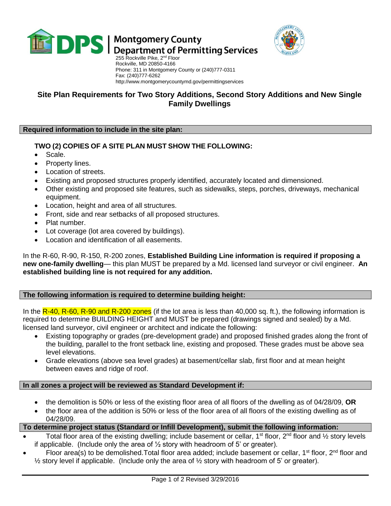

**DPS** | Montgomery County<br>DPS | Department of Permitting Services



255 Rockville Pike, 2<sup>nd</sup> Floor Rockville, MD 20850-4166 Phone: 311 in Montgomery County or (240)777-0311 Fax: (240)777-6262 http://www.montgomerycountymd.gov/permittingservices

# **Site Plan Requirements for Two Story Additions, Second Story Additions and New Single Family Dwellings**

### **Required information to include in the site plan:**

## **TWO (2) COPIES OF A SITE PLAN MUST SHOW THE FOLLOWING:**

- Scale.
- Property lines.
- Location of streets.
- Existing and proposed structures properly identified, accurately located and dimensioned.
- Other existing and proposed site features, such as sidewalks, steps, porches, driveways, mechanical equipment.
- Location, height and area of all structures.
- Front, side and rear setbacks of all proposed structures.
- Plat number.
- Lot coverage (lot area covered by buildings).
- Location and identification of all easements.

In the R-60, R-90, R-150, R-200 zones, **Established Building Line information is required if proposing a new one-family dwelling**— this plan MUST be prepared by a Md. licensed land surveyor or civil engineer. **An established building line is not required for any addition.**

#### **The following information is required to determine building height:**

In the  $R-40$ ,  $R-60$ ,  $R-90$  and  $R-200$  zones (if the lot area is less than 40,000 sq. ft.), the following information is required to determine BUILDING HEIGHT and MUST be prepared (drawings signed and sealed) by a Md. licensed land surveyor, civil engineer or architect and indicate the following:

- Existing topography or grades (pre-development grade) and proposed finished grades along the front of the building, parallel to the front setback line, existing and proposed. These grades must be above sea level elevations.
- Grade elevations (above sea level grades) at basement/cellar slab, first floor and at mean height between eaves and ridge of roof.

#### **In all zones a project will be reviewed as Standard Development if:**

- the demolition is 50% or less of the existing floor area of all floors of the dwelling as of 04/28/09, **OR**
- the floor area of the addition is 50% or less of the floor area of all floors of the existing dwelling as of 04/28/09.

#### **To determine project status (Standard or Infill Development), submit the following information:**

- Total floor area of the existing dwelling; include basement or cellar, 1<sup>st</sup> floor, 2<sup>nd</sup> floor and  $\frac{1}{2}$  story levels if applicable. (Include only the area of  $\frac{1}{2}$  story with headroom of 5' or greater).
- Floor area(s) to be demolished. Total floor area added; include basement or cellar, 1<sup>st</sup> floor, 2<sup>nd</sup> floor and  $\frac{1}{2}$  story level if applicable. (Include only the area of  $\frac{1}{2}$  story with headroom of 5' or greater).